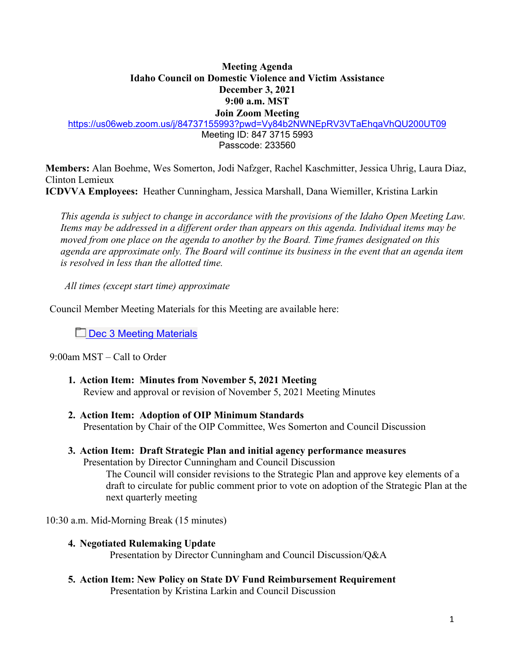# **Meeting Agenda Idaho Council on Domestic Violence and Victim Assistance December 3, 2021 9:00 a.m. MST Join Zoom Meeting**

<https://us06web.zoom.us/j/84737155993?pwd=Vy84b2NWNEpRV3VTaEhqaVhQU200UT09>

Meeting ID: 847 3715 5993 Passcode: 233560

**Members:** Alan Boehme, Wes Somerton, Jodi Nafzger, Rachel Kaschmitter, Jessica Uhrig, Laura Diaz, Clinton Lemieux

**ICDVVA Employees:** Heather Cunningham, Jessica Marshall, Dana Wiemiller, Kristina Larkin

 *This agenda is subject to change in accordance with the provisions of the Idaho Open Meeting Law. Items may be addressed in a different order than appears on this agenda. Individual items may be moved from one place on the agenda to another by the Board. Time frames designated on this agenda are approximate only. The Board will continue its business in the event that an agenda item is resolved in less than the allotted time.* 

*All times (except start time) approximate* 

Council Member Meeting Materials for this Meeting are available here:

Dec 3 Meeting Materials

9:00am MST – Call to Order

- **1. Action Item: Minutes from November 5, 2021 Meeting**  Review and approval or revision of November 5, 2021 Meeting Minutes
- **2. Action Item: Adoption of OIP Minimum Standards**

Presentation by Chair of the OIP Committee, Wes Somerton and Council Discussion

**3. Action Item: Draft Strategic Plan and initial agency performance measures** Presentation by Director Cunningham and Council Discussion

The Council will consider revisions to the Strategic Plan and approve key elements of a draft to circulate for public comment prior to vote on adoption of the Strategic Plan at the next quarterly meeting

10:30 a.m. Mid-Morning Break (15 minutes)

- **4. Negotiated Rulemaking Update**  Presentation by Director Cunningham and Council Discussion/Q&A
- **5. Action Item: New Policy on State DV Fund Reimbursement Requirement** Presentation by Kristina Larkin and Council Discussion